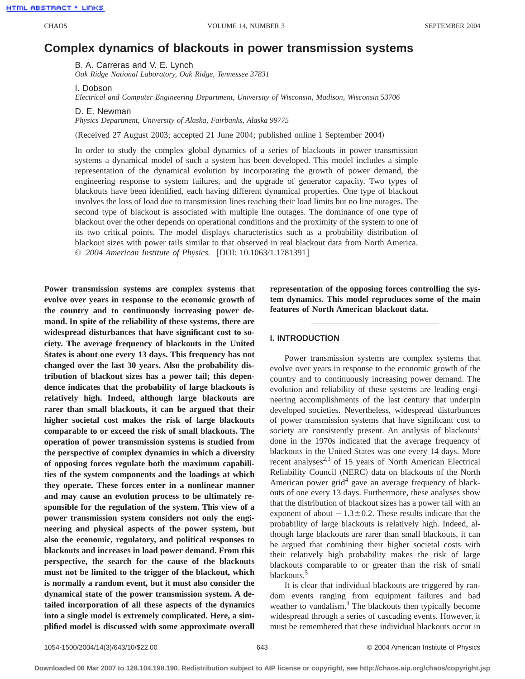# **Complex dynamics of blackouts in power transmission systems**

B. A. Carreras and V. E. Lynch *Oak Ridge National Laboratory, Oak Ridge, Tennessee 37831*

I. Dobson

*Electrical and Computer Engineering Department, University of Wisconsin, Madison, Wisconsin 53706*

D. E. Newman

*Physics Department, University of Alaska, Fairbanks, Alaska 99775*

(Received 27 August 2003; accepted 21 June 2004; published online 1 September 2004)

In order to study the complex global dynamics of a series of blackouts in power transmission systems a dynamical model of such a system has been developed. This model includes a simple representation of the dynamical evolution by incorporating the growth of power demand, the engineering response to system failures, and the upgrade of generator capacity. Two types of blackouts have been identified, each having different dynamical properties. One type of blackout involves the loss of load due to transmission lines reaching their load limits but no line outages. The second type of blackout is associated with multiple line outages. The dominance of one type of blackout over the other depends on operational conditions and the proximity of the system to one of its two critical points. The model displays characteristics such as a probability distribution of blackout sizes with power tails similar to that observed in real blackout data from North America. © 2004 American Institute of Physics. [DOI: 10.1063/1.1781391]

**Power transmission systems are complex systems that evolve over years in response to the economic growth of the country and to continuously increasing power demand. In spite of the reliability of these systems, there are widespread disturbances that have significant cost to society. The average frequency of blackouts in the United States is about one every 13 days. This frequency has not changed over the last 30 years. Also the probability distribution of blackout sizes has a power tail; this dependence indicates that the probability of large blackouts is relatively high. Indeed, although large blackouts are rarer than small blackouts, it can be argued that their higher societal cost makes the risk of large blackouts comparable to or exceed the risk of small blackouts. The operation of power transmission systems is studied from the perspective of complex dynamics in which a diversity of opposing forces regulate both the maximum capabilities of the system components and the loadings at which they operate. These forces enter in a nonlinear manner and may cause an evolution process to be ultimately responsible for the regulation of the system. This view of a power transmission system considers not only the engineering and physical aspects of the power system, but also the economic, regulatory, and political responses to blackouts and increases in load power demand. From this perspective, the search for the cause of the blackouts must not be limited to the trigger of the blackout, which is normally a random event, but it must also consider the dynamical state of the power transmission system. A detailed incorporation of all these aspects of the dynamics into a single model is extremely complicated. Here, a simplified model is discussed with some approximate overall**

**representation of the opposing forces controlling the system dynamics. This model reproduces some of the main features of North American blackout data.**

### **I. INTRODUCTION**

Power transmission systems are complex systems that evolve over years in response to the economic growth of the country and to continuously increasing power demand. The evolution and reliability of these systems are leading engineering accomplishments of the last century that underpin developed societies. Nevertheless, widespread disturbances of power transmission systems that have significant cost to society are consistently present. An analysis of blackouts<sup>1</sup> done in the 1970s indicated that the average frequency of blackouts in the United States was one every 14 days. More recent analyses<sup>2,3</sup> of 15 years of North American Electrical Reliability Council (NERC) data on blackouts of the North American power grid $4$  gave an average frequency of blackouts of one every 13 days. Furthermore, these analyses show that the distribution of blackout sizes has a power tail with an exponent of about  $-1.3 \pm 0.2$ . These results indicate that the probability of large blackouts is relatively high. Indeed, although large blackouts are rarer than small blackouts, it can be argued that combining their higher societal costs with their relatively high probability makes the risk of large blackouts comparable to or greater than the risk of small blackouts.<sup>5</sup>

It is clear that individual blackouts are triggered by random events ranging from equipment failures and bad weather to vandalism.<sup>4</sup> The blackouts then typically become widespread through a series of cascading events. However, it must be remembered that these individual blackouts occur in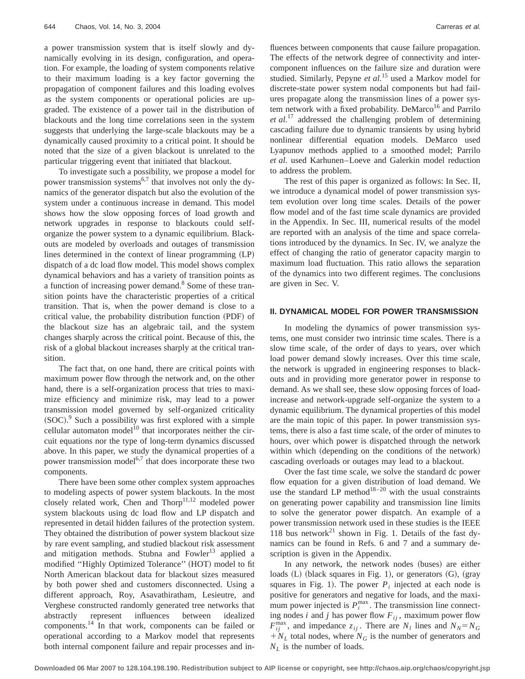a power transmission system that is itself slowly and dynamically evolving in its design, configuration, and operation. For example, the loading of system components relative to their maximum loading is a key factor governing the propagation of component failures and this loading evolves as the system components or operational policies are upgraded. The existence of a power tail in the distribution of blackouts and the long time correlations seen in the system suggests that underlying the large-scale blackouts may be a dynamically caused proximity to a critical point. It should be noted that the size of a given blackout is unrelated to the particular triggering event that initiated that blackout.

To investigate such a possibility, we propose a model for power transmission systems $6.7$  that involves not only the dynamics of the generator dispatch but also the evolution of the system under a continuous increase in demand. This model shows how the slow opposing forces of load growth and network upgrades in response to blackouts could selforganize the power system to a dynamic equilibrium. Blackouts are modeled by overloads and outages of transmission lines determined in the context of linear programming  $(LP)$ dispatch of a dc load flow model. This model shows complex dynamical behaviors and has a variety of transition points as a function of increasing power demand.<sup>8</sup> Some of these transition points have the characteristic properties of a critical transition. That is, when the power demand is close to a critical value, the probability distribution function (PDF) of the blackout size has an algebraic tail, and the system changes sharply across the critical point. Because of this, the risk of a global blackout increases sharply at the critical transition.

The fact that, on one hand, there are critical points with maximum power flow through the network and, on the other hand, there is a self-organization process that tries to maximize efficiency and minimize risk, may lead to a power transmission model governed by self-organized criticality  $(SOC)<sup>9</sup>$  Such a possibility was first explored with a simple cellular automaton model $^{10}$  that incorporates neither the circuit equations nor the type of long-term dynamics discussed above. In this paper, we study the dynamical properties of a power transmission model $6,7$  that does incorporate these two components.

There have been some other complex system approaches to modeling aspects of power system blackouts. In the most closely related work, Chen and Thorp<sup>11,12</sup> modeled power system blackouts using dc load flow and LP dispatch and represented in detail hidden failures of the protection system. They obtained the distribution of power system blackout size by rare event sampling, and studied blackout risk assessment and mitigation methods. Stubna and  $F(\text{owler}^{13})$  applied a modified "Highly Optimized Tolerance" (HOT) model to fit North American blackout data for blackout sizes measured by both power shed and customers disconnected. Using a different approach, Roy, Asavathiratham, Lesieutre, and Verghese constructed randomly generated tree networks that abstractly represent influences between idealized components.14 In that work, components can be failed or operational according to a Markov model that represents both internal component failure and repair processes and influences between components that cause failure propagation. The effects of the network degree of connectivity and intercomponent influences on the failure size and duration were studied. Similarly, Pepyne *et al.*<sup>15</sup> used a Markov model for discrete-state power system nodal components but had failures propagate along the transmission lines of a power system network with a fixed probability. DeMarco<sup>16</sup> and Parrilo *et al.*<sup>17</sup> addressed the challenging problem of determining cascading failure due to dynamic transients by using hybrid nonlinear differential equation models. DeMarco used Lyapunov methods applied to a smoothed model; Parrilo *et al.* used Karhunen–Loeve and Galerkin model reduction to address the problem.

The rest of this paper is organized as follows: In Sec. II, we introduce a dynamical model of power transmission system evolution over long time scales. Details of the power flow model and of the fast time scale dynamics are provided in the Appendix. In Sec. III, numerical results of the model are reported with an analysis of the time and space correlations introduced by the dynamics. In Sec. IV, we analyze the effect of changing the ratio of generator capacity margin to maximum load fluctuation. This ratio allows the separation of the dynamics into two different regimes. The conclusions are given in Sec. V.

#### **II. DYNAMICAL MODEL FOR POWER TRANSMISSION**

In modeling the dynamics of power transmission systems, one must consider two intrinsic time scales. There is a slow time scale, of the order of days to years, over which load power demand slowly increases. Over this time scale, the network is upgraded in engineering responses to blackouts and in providing more generator power in response to demand. As we shall see, these slow opposing forces of loadincrease and network-upgrade self-organize the system to a dynamic equilibrium. The dynamical properties of this model are the main topic of this paper. In power transmission systems, there is also a fast time scale, of the order of minutes to hours, over which power is dispatched through the network within which (depending on the conditions of the network) cascading overloads or outages may lead to a blackout.

Over the fast time scale, we solve the standard dc power flow equation for a given distribution of load demand. We use the standard LP method<sup>18–20</sup> with the usual constraints on generating power capability and transmission line limits to solve the generator power dispatch. An example of a power transmission network used in these studies is the IEEE 118 bus network<sup>21</sup> shown in Fig. 1. Details of the fast dynamics can be found in Refs. 6 and 7 and a summary description is given in the Appendix.

In any network, the network nodes (buses) are either loads  $(L)$  (black squares in Fig. 1), or generators  $(G)$ , (gray squares in Fig. 1). The power  $P_i$  injected at each node is positive for generators and negative for loads, and the maximum power injected is  $P_i^{\max}$ . The transmission line connecting nodes *i* and *j* has power flow  $F_{ij}$ , maximum power flow  $F_{ij}^{\text{max}}$ , and impedance  $z_{ij}$ . There are  $N_l$  lines and  $N_N = N_G$  $+N_L$  total nodes, where  $N_G$  is the number of generators and  $N_L$  is the number of loads.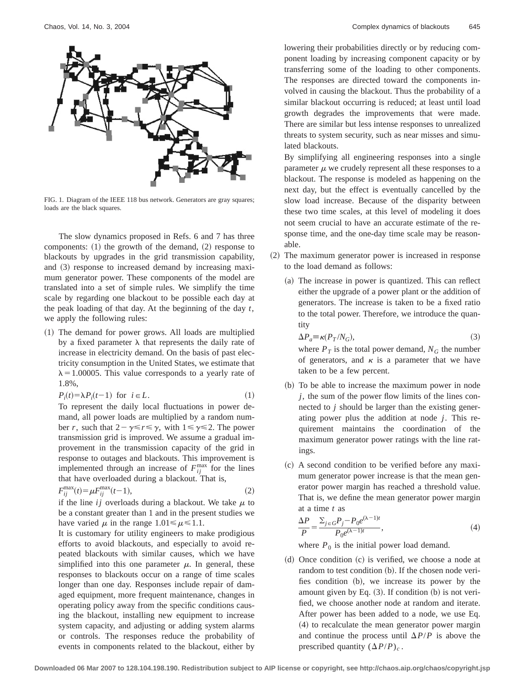

FIG. 1. Diagram of the IEEE 118 bus network. Generators are gray squares; loads are the black squares.

The slow dynamics proposed in Refs. 6 and 7 has three components:  $(1)$  the growth of the demand,  $(2)$  response to blackouts by upgrades in the grid transmission capability, and  $(3)$  response to increased demand by increasing maximum generator power. These components of the model are translated into a set of simple rules. We simplify the time scale by regarding one blackout to be possible each day at the peak loading of that day. At the beginning of the day *t*, we apply the following rules:

~1! The demand for power grows. All loads are multiplied by a fixed parameter  $\lambda$  that represents the daily rate of increase in electricity demand. On the basis of past electricity consumption in the United States, we estimate that  $\lambda$  = 1.00005. This value corresponds to a yearly rate of 1.8%,

$$
P_i(t) = \lambda P_i(t-1) \text{ for } i \in L.
$$
 (1)

To represent the daily local fluctuations in power demand, all power loads are multiplied by a random number *r*, such that  $2 - \gamma \le r \le \gamma$ , with  $1 \le \gamma \le 2$ . The power transmission grid is improved. We assume a gradual improvement in the transmission capacity of the grid in response to outages and blackouts. This improvement is implemented through an increase of  $F_{ij}^{\text{max}}$  for the lines that have overloaded during a blackout. That is,

$$
F_{ij}^{\max}(t) = \mu F_{ij}^{\max}(t-1),\tag{2}
$$

if the line *i j* overloads during a blackout. We take  $\mu$  to be a constant greater than 1 and in the present studies we have varied  $\mu$  in the range  $1.01 \leq \mu \leq 1.1$ .

It is customary for utility engineers to make prodigious efforts to avoid blackouts, and especially to avoid repeated blackouts with similar causes, which we have simplified into this one parameter  $\mu$ . In general, these responses to blackouts occur on a range of time scales longer than one day. Responses include repair of damaged equipment, more frequent maintenance, changes in operating policy away from the specific conditions causing the blackout, installing new equipment to increase system capacity, and adjusting or adding system alarms or controls. The responses reduce the probability of events in components related to the blackout, either by lowering their probabilities directly or by reducing component loading by increasing component capacity or by transferring some of the loading to other components. The responses are directed toward the components involved in causing the blackout. Thus the probability of a similar blackout occurring is reduced; at least until load growth degrades the improvements that were made. There are similar but less intense responses to unrealized threats to system security, such as near misses and simulated blackouts.

By simplifying all engineering responses into a single parameter  $\mu$  we crudely represent all these responses to a blackout. The response is modeled as happening on the next day, but the effect is eventually cancelled by the slow load increase. Because of the disparity between these two time scales, at this level of modeling it does not seem crucial to have an accurate estimate of the response time, and the one-day time scale may be reasonable.

- $(2)$  The maximum generator power is increased in response to the load demand as follows:
	- $(a)$  The increase in power is quantized. This can reflect either the upgrade of a power plant or the addition of generators. The increase is taken to be a fixed ratio to the total power. Therefore, we introduce the quantity

$$
\Delta P_a \equiv \kappa (P_T / N_G),\tag{3}
$$

where  $P_T$  is the total power demand,  $N_G$  the number of generators, and  $\kappa$  is a parameter that we have taken to be a few percent.

- (b) To be able to increase the maximum power in node *j*, the sum of the power flow limits of the lines connected to *j* should be larger than the existing generating power plus the addition at node *j*. This requirement maintains the coordination of the maximum generator power ratings with the line ratings.
- ~c! A second condition to be verified before any maximum generator power increase is that the mean generator power margin has reached a threshold value. That is, we define the mean generator power margin at a time *t* as

$$
\frac{\Delta P}{P} = \frac{\sum_{j \in G} P_j - P_0 e^{(\lambda - 1)t}}{P_0 e^{(\lambda - 1)t}},
$$
\n(4)

where  $P_0$  is the initial power load demand.

 $(d)$  Once condition  $(c)$  is verified, we choose a node at random to test condition (b). If the chosen node verifies condition (b), we increase its power by the amount given by Eq.  $(3)$ . If condition  $(b)$  is not verified, we choose another node at random and iterate. After power has been added to a node, we use Eq.  $(4)$  to recalculate the mean generator power margin and continue the process until  $\Delta P/P$  is above the prescribed quantity  $(\Delta P/P)_c$ .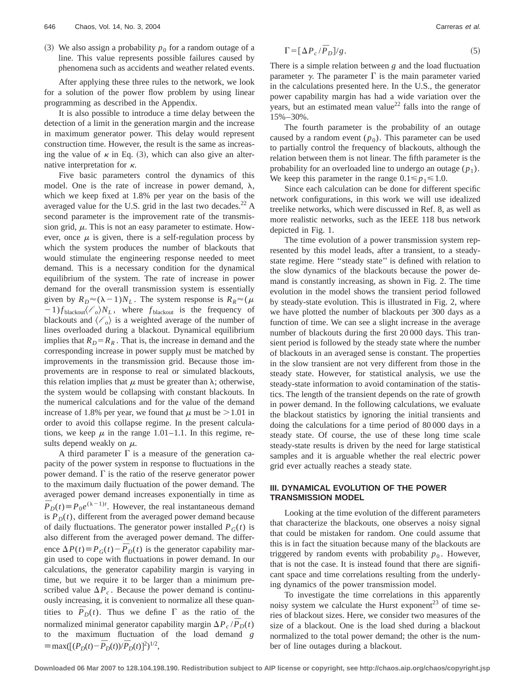(3) We also assign a probability  $p_0$  for a random outage of a line. This value represents possible failures caused by phenomena such as accidents and weather related events.

After applying these three rules to the network, we look for a solution of the power flow problem by using linear programming as described in the Appendix.

It is also possible to introduce a time delay between the detection of a limit in the generation margin and the increase in maximum generator power. This delay would represent construction time. However, the result is the same as increasing the value of  $\kappa$  in Eq. (3), which can also give an alternative interpretation for  $\kappa$ .

Five basic parameters control the dynamics of this model. One is the rate of increase in power demand,  $\lambda$ , which we keep fixed at 1.8% per year on the basis of the averaged value for the U.S. grid in the last two decades. $^{22}$  A second parameter is the improvement rate of the transmission grid,  $\mu$ . This is not an easy parameter to estimate. However, once  $\mu$  is given, there is a self-regulation process by which the system produces the number of blackouts that would stimulate the engineering response needed to meet demand. This is a necessary condition for the dynamical equilibrium of the system. The rate of increase in power demand for the overall transmission system is essentially given by  $R_D \approx (\lambda - 1)N_L$ . The system response is  $R_R \approx (\mu$  $(1)$ *f*<sub>blackout</sub> $\langle \ell_{o} \rangle N_{L}$ , where *f* blackout is the frequency of blackouts and  $\langle \ell_{\rho} \rangle$  is a weighted average of the number of lines overloaded during a blackout. Dynamical equilibrium implies that  $R_D = R_R$ . That is, the increase in demand and the corresponding increase in power supply must be matched by improvements in the transmission grid. Because those improvements are in response to real or simulated blackouts, this relation implies that  $\mu$  must be greater than  $\lambda$ ; otherwise, the system would be collapsing with constant blackouts. In the numerical calculations and for the value of the demand increase of 1.8% per year, we found that  $\mu$  must be  $>1.01$  in order to avoid this collapse regime. In the present calculations, we keep  $\mu$  in the range 1.01–1.1. In this regime, results depend weakly on  $\mu$ .

A third parameter  $\Gamma$  is a measure of the generation capacity of the power system in response to fluctuations in the power demand.  $\Gamma$  is the ratio of the reserve generator power to the maximum daily fluctuation of the power demand. The averaged power demand increases exponentially in time as  $\overline{P}_D(t) = P_0 e^{(\lambda - 1)t}$ . However, the real instantaneous demand is  $P_D(t)$ , different from the averaged power demand because of daily fluctuations. The generator power installed  $P_G(t)$  is also different from the averaged power demand. The difference  $\Delta P(t) \equiv P_G(t) - \bar{P}_D(t)$  is the generator capability margin used to cope with fluctuations in power demand. In our calculations, the generator capability margin is varying in time, but we require it to be larger than a minimum prescribed value  $\Delta P_c$ . Because the power demand is continuously increasing, it is convenient to normalize all these quantities to  $\overline{P}_D(t)$ . Thus we define  $\Gamma$  as the ratio of the normalized minimal generator capability margin  $\Delta P_c / \bar{P}_D(t)$ to the maximum fluctuation of the load demand *g*  $\equiv$ max([( $P_D(t) - \bar{P}_D(t)/\bar{P}_D(t)$ ]<sup>2</sup>)<sup>1/2</sup>,

$$
\Gamma = [\Delta P_c / \bar{P}_D] / g. \tag{5}
$$

There is a simple relation between *g* and the load fluctuation parameter  $\gamma$ . The parameter  $\Gamma$  is the main parameter varied in the calculations presented here. In the U.S., the generator power capability margin has had a wide variation over the years, but an estimated mean value<sup>22</sup> falls into the range of 15%–30%.

The fourth parameter is the probability of an outage caused by a random event  $(p_0)$ . This parameter can be used to partially control the frequency of blackouts, although the relation between them is not linear. The fifth parameter is the probability for an overloaded line to undergo an outage  $(p_1)$ . We keep this parameter in the range  $0.1 \leq p_1 \leq 1.0$ .

Since each calculation can be done for different specific network configurations, in this work we will use idealized treelike networks, which were discussed in Ref. 8, as well as more realistic networks, such as the IEEE 118 bus network depicted in Fig. 1.

The time evolution of a power transmission system represented by this model leads, after a transient, to a steadystate regime. Here ''steady state'' is defined with relation to the slow dynamics of the blackouts because the power demand is constantly increasing, as shown in Fig. 2. The time evolution in the model shows the transient period followed by steady-state evolution. This is illustrated in Fig. 2, where we have plotted the number of blackouts per 300 days as a function of time. We can see a slight increase in the average number of blackouts during the first 20 000 days. This transient period is followed by the steady state where the number of blackouts in an averaged sense is constant. The properties in the slow transient are not very different from those in the steady state. However, for statistical analysis, we use the steady-state information to avoid contamination of the statistics. The length of the transient depends on the rate of growth in power demand. In the following calculations, we evaluate the blackout statistics by ignoring the initial transients and doing the calculations for a time period of 80 000 days in a steady state. Of course, the use of these long time scale steady-state results is driven by the need for large statistical samples and it is arguable whether the real electric power grid ever actually reaches a steady state.

## **III. DYNAMICAL EVOLUTION OF THE POWER TRANSMISSION MODEL**

Looking at the time evolution of the different parameters that characterize the blackouts, one observes a noisy signal that could be mistaken for random. One could assume that this is in fact the situation because many of the blackouts are triggered by random events with probability  $p_0$ . However, that is not the case. It is instead found that there are significant space and time correlations resulting from the underlying dynamics of the power transmission model.

To investigate the time correlations in this apparently noisy system we calculate the Hurst exponent<sup>23</sup> of time series of blackout sizes. Here, we consider two measures of the size of a blackout. One is the load shed during a blackout normalized to the total power demand; the other is the number of line outages during a blackout.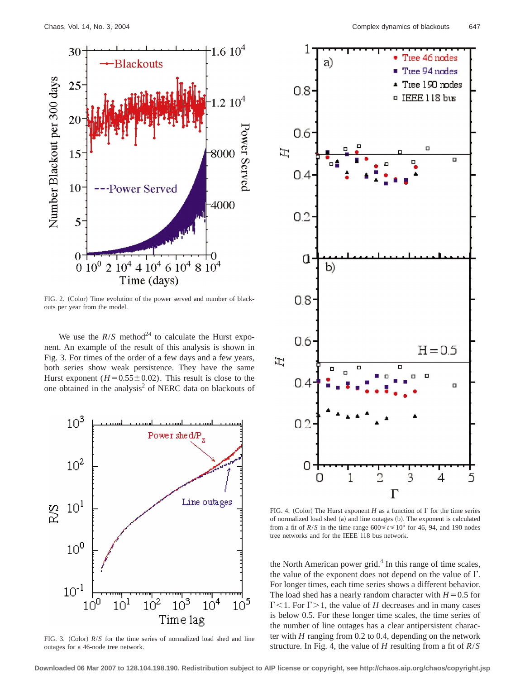

FIG. 2. (Color) Time evolution of the power served and number of blackouts per year from the model.

We use the  $R/S$  method<sup>24</sup> to calculate the Hurst exponent. An example of the result of this analysis is shown in Fig. 3. For times of the order of a few days and a few years, both series show weak persistence. They have the same Hurst exponent  $(H=0.55\pm0.02)$ . This result is close to the one obtained in the analysis<sup>2</sup> of NERC data on blackouts of



FIG. 3. (Color)  $R/S$  for the time series of normalized load shed and line outages for a 46-node tree network.



FIG. 4. (Color) The Hurst exponent *H* as a function of  $\Gamma$  for the time series of normalized load shed (a) and line outages (b). The exponent is calculated from a fit of  $R/S$  in the time range  $600 \le t \le 10^5$  for 46, 94, and 190 nodes tree networks and for the IEEE 118 bus network.

the North American power grid. $4$  In this range of time scales, the value of the exponent does not depend on the value of  $\Gamma$ . For longer times, each time series shows a different behavior. The load shed has a nearly random character with  $H=0.5$  for  $\Gamma$ <1. For  $\Gamma$ >1, the value of *H* decreases and in many cases is below 0.5. For these longer time scales, the time series of the number of line outages has a clear antipersistent character with *H* ranging from 0.2 to 0.4, depending on the network structure. In Fig. 4, the value of *H* resulting from a fit of *R*/*S*

**Downloaded 06 Mar 2007 to 128.104.198.190. Redistribution subject to AIP license or copyright, see http://chaos.aip.org/chaos/copyright.jsp**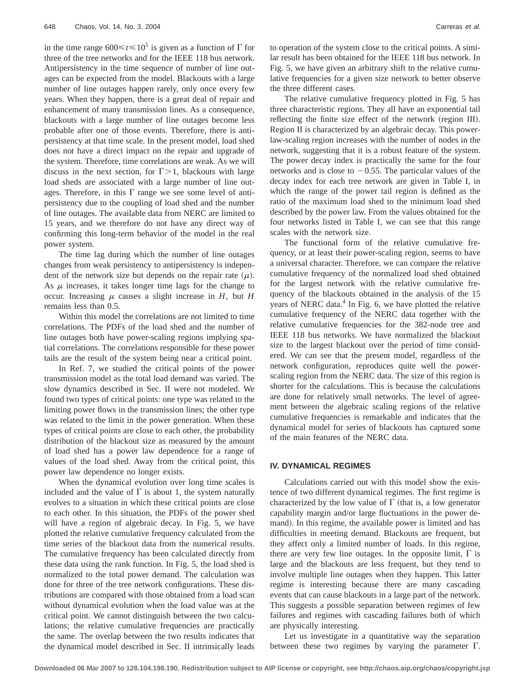in the time range  $600 \le t \le 10^5$  is given as a function of  $\Gamma$  for three of the tree networks and for the IEEE 118 bus network. Antipersistency in the time sequence of number of line outages can be expected from the model. Blackouts with a large number of line outages happen rarely, only once every few years. When they happen, there is a great deal of repair and enhancement of many transmission lines. As a consequence, blackouts with a large number of line outages become less probable after one of those events. Therefore, there is antipersistency at that time scale. In the present model, load shed does not have a direct impact on the repair and upgrade of the system. Therefore, time correlations are weak. As we will discuss in the next section, for  $\Gamma > 1$ , blackouts with large load sheds are associated with a large number of line outages. Therefore, in this  $\Gamma$  range we see some level of antipersistency due to the coupling of load shed and the number of line outages. The available data from NERC are limited to 15 years, and we therefore do not have any direct way of confirming this long-term behavior of the model in the real power system.

The time lag during which the number of line outages changes from weak persistency to antipersistency is independent of the network size but depends on the repair rate  $(\mu)$ . As  $\mu$  increases, it takes longer time lags for the change to occur. Increasing  $\mu$  causes a slight increase in *H*, but *H* remains less than 0.5.

Within this model the correlations are not limited to time correlations. The PDFs of the load shed and the number of line outages both have power-scaling regions implying spatial correlations. The correlations responsible for these power tails are the result of the system being near a critical point.

In Ref. 7, we studied the critical points of the power transmission model as the total load demand was varied. The slow dynamics described in Sec. II were not modeled. We found two types of critical points: one type was related to the limiting power flows in the transmission lines; the other type was related to the limit in the power generation. When these types of critical points are close to each other, the probability distribution of the blackout size as measured by the amount of load shed has a power law dependence for a range of values of the load shed. Away from the critical point, this power law dependence no longer exists.

When the dynamical evolution over long time scales is included and the value of  $\Gamma$  is about 1, the system naturally evolves to a situation in which these critical points are close to each other. In this situation, the PDFs of the power shed will have a region of algebraic decay. In Fig. 5, we have plotted the relative cumulative frequency calculated from the time series of the blackout data from the numerical results. The cumulative frequency has been calculated directly from these data using the rank function. In Fig. 5, the load shed is normalized to the total power demand. The calculation was done for three of the tree network configurations. These distributions are compared with those obtained from a load scan without dynamical evolution when the load value was at the critical point. We cannot distinguish between the two calculations; the relative cumulative frequencies are practically the same. The overlap between the two results indicates that the dynamical model described in Sec. II intrinsically leads to operation of the system close to the critical points. A similar result has been obtained for the IEEE 118 bus network. In Fig. 5, we have given an arbitrary shift to the relative cumulative frequencies for a given size network to better observe the three different cases.

The relative cumulative frequency plotted in Fig. 5 has three characteristic regions. They all have an exponential tail reflecting the finite size effect of the network (region III). Region II is characterized by an algebraic decay. This powerlaw-scaling region increases with the number of nodes in the network, suggesting that it is a robust feature of the system. The power decay index is practically the same for the four networks and is close to  $-0.55$ . The particular values of the decay index for each tree network are given in Table I, in which the range of the power tail region is defined as the ratio of the maximum load shed to the minimum load shed described by the power law. From the values obtained for the four networks listed in Table I, we can see that this range scales with the network size.

The functional form of the relative cumulative frequency, or at least their power-scaling region, seems to have a universal character. Therefore, we can compare the relative cumulative frequency of the normalized load shed obtained for the largest network with the relative cumulative frequency of the blackouts obtained in the analysis of the 15 years of NERC data. $4$  In Fig. 6, we have plotted the relative cumulative frequency of the NERC data together with the relative cumulative frequencies for the 382-node tree and IEEE 118 bus networks. We have normalized the blackout size to the largest blackout over the period of time considered. We can see that the present model, regardless of the network configuration, reproduces quite well the powerscaling region from the NERC data. The size of this region is shorter for the calculations. This is because the calculations are done for relatively small networks. The level of agreement between the algebraic scaling regions of the relative cumulative frequencies is remarkable and indicates that the dynamical model for series of blackouts has captured some of the main features of the NERC data.

### **IV. DYNAMICAL REGIMES**

Calculations carried out with this model show the existence of two different dynamical regimes. The first regime is characterized by the low value of  $\Gamma$  (that is, a low generator capability margin and/or large fluctuations in the power demand). In this regime, the available power is limited and has difficulties in meeting demand. Blackouts are frequent, but they affect only a limited number of loads. In this regime, there are very few line outages. In the opposite limit,  $\Gamma$  is large and the blackouts are less frequent, but they tend to involve multiple line outages when they happen. This latter regime is interesting because there are many cascading events that can cause blackouts in a large part of the network. This suggests a possible separation between regimes of few failures and regimes with cascading failures both of which are physically interesting.

Let us investigate in a quantitative way the separation between these two regimes by varying the parameter  $\Gamma$ .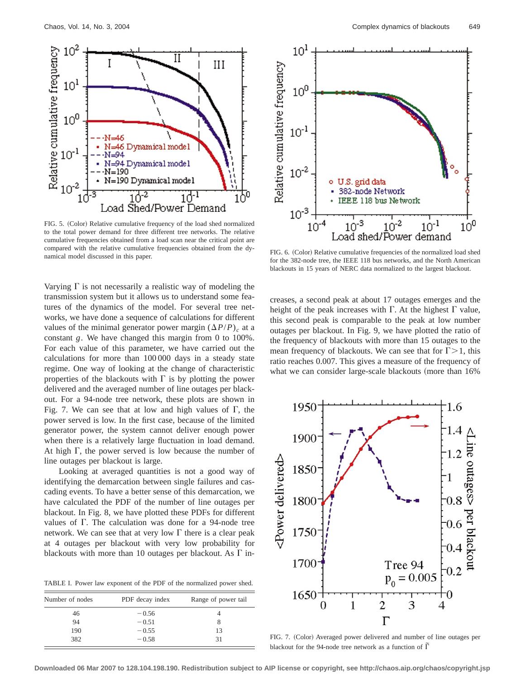

FIG. 5. (Color) Relative cumulative frequency of the load shed normalized to the total power demand for three different tree networks. The relative cumulative frequencies obtained from a load scan near the critical point are compared with the relative cumulative frequencies obtained from the dy-EIG. 6. (Color) Relative cumulative frequencies of the normalized load shed<br>namical model discussed in this paper.

Varying  $\Gamma$  is not necessarily a realistic way of modeling the transmission system but it allows us to understand some features of the dynamics of the model. For several tree networks, we have done a sequence of calculations for different values of the minimal generator power margin  $(\Delta P/P)_c$  at a constant *g*. We have changed this margin from 0 to 100%. For each value of this parameter, we have carried out the calculations for more than 100 000 days in a steady state regime. One way of looking at the change of characteristic properties of the blackouts with  $\Gamma$  is by plotting the power delivered and the averaged number of line outages per blackout. For a 94-node tree network, these plots are shown in Fig. 7. We can see that at low and high values of  $\Gamma$ , the power served is low. In the first case, because of the limited generator power, the system cannot deliver enough power when there is a relatively large fluctuation in load demand. At high  $\Gamma$ , the power served is low because the number of line outages per blackout is large.

Looking at averaged quantities is not a good way of identifying the demarcation between single failures and cascading events. To have a better sense of this demarcation, we have calculated the PDF of the number of line outages per blackout. In Fig. 8, we have plotted these PDFs for different values of  $\Gamma$ . The calculation was done for a 94-node tree network. We can see that at very low  $\Gamma$  there is a clear peak at 4 outages per blackout with very low probability for blackouts with more than 10 outages per blackout. As  $\Gamma$  in-

TABLE I. Power law exponent of the PDF of the normalized power shed.

| Number of nodes | PDF decay index | Range of power tail |
|-----------------|-----------------|---------------------|
| 46              | $-0.56$         |                     |
| 94              | $-0.51$         | 8                   |
| 190             | $-0.55$         | 13                  |
| 382             | $-0.58$         | 31                  |



for the 382-node tree, the IEEE 118 bus networks, and the North American blackouts in 15 years of NERC data normalized to the largest blackout.

creases, a second peak at about 17 outages emerges and the height of the peak increases with  $\Gamma$ . At the highest  $\Gamma$  value, this second peak is comparable to the peak at low number outages per blackout. In Fig. 9, we have plotted the ratio of the frequency of blackouts with more than 15 outages to the mean frequency of blackouts. We can see that for  $\Gamma > 1$ , this ratio reaches 0.007. This gives a measure of the frequency of what we can consider large-scale blackouts (more than 16%



FIG. 7. (Color) Averaged power delivered and number of line outages per blackout for the 94-node tree network as a function of  $\Gamma$ 

**Downloaded 06 Mar 2007 to 128.104.198.190. Redistribution subject to AIP license or copyright, see http://chaos.aip.org/chaos/copyright.jsp**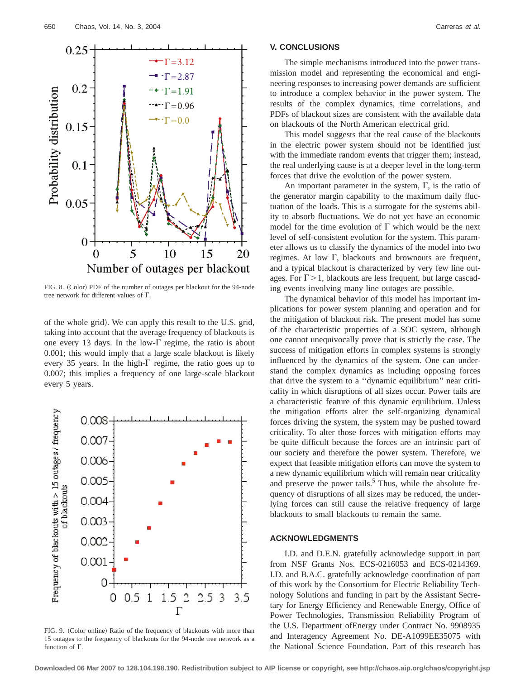

FIG. 8. (Color) PDF of the number of outages per blackout for the 94-node tree network for different values of  $\Gamma$ .

of the whole grid). We can apply this result to the U.S. grid, taking into account that the average frequency of blackouts is one every 13 days. In the low- $\Gamma$  regime, the ratio is about 0.001; this would imply that a large scale blackout is likely every 35 years. In the high- $\Gamma$  regime, the ratio goes up to 0.007; this implies a frequency of one large-scale blackout every 5 years.



FIG. 9. (Color online) Ratio of the frequency of blackouts with more than 15 outages to the frequency of blackouts for the 94-node tree network as a function of  $\Gamma$ .

#### **V. CONCLUSIONS**

The simple mechanisms introduced into the power transmission model and representing the economical and engineering responses to increasing power demands are sufficient to introduce a complex behavior in the power system. The results of the complex dynamics, time correlations, and PDFs of blackout sizes are consistent with the available data on blackouts of the North American electrical grid.

This model suggests that the real cause of the blackouts in the electric power system should not be identified just with the immediate random events that trigger them; instead, the real underlying cause is at a deeper level in the long-term forces that drive the evolution of the power system.

An important parameter in the system,  $\Gamma$ , is the ratio of the generator margin capability to the maximum daily fluctuation of the loads. This is a surrogate for the systems ability to absorb fluctuations. We do not yet have an economic model for the time evolution of  $\Gamma$  which would be the next level of self-consistent evolution for the system. This parameter allows us to classify the dynamics of the model into two regimes. At low  $\Gamma$ , blackouts and brownouts are frequent, and a typical blackout is characterized by very few line outages. For  $\Gamma > 1$ , blackouts are less frequent, but large cascading events involving many line outages are possible.

The dynamical behavior of this model has important implications for power system planning and operation and for the mitigation of blackout risk. The present model has some of the characteristic properties of a SOC system, although one cannot unequivocally prove that is strictly the case. The success of mitigation efforts in complex systems is strongly influenced by the dynamics of the system. One can understand the complex dynamics as including opposing forces that drive the system to a ''dynamic equilibrium'' near criticality in which disruptions of all sizes occur. Power tails are a characteristic feature of this dynamic equilibrium. Unless the mitigation efforts alter the self-organizing dynamical forces driving the system, the system may be pushed toward criticality. To alter those forces with mitigation efforts may be quite difficult because the forces are an intrinsic part of our society and therefore the power system. Therefore, we expect that feasible mitigation efforts can move the system to a new dynamic equilibrium which will remain near criticality and preserve the power tails. $<sup>5</sup>$  Thus, while the absolute fre-</sup> quency of disruptions of all sizes may be reduced, the underlying forces can still cause the relative frequency of large blackouts to small blackouts to remain the same.

### **ACKNOWLEDGMENTS**

I.D. and D.E.N. gratefully acknowledge support in part from NSF Grants Nos. ECS-0216053 and ECS-0214369. I.D. and B.A.C. gratefully acknowledge coordination of part of this work by the Consortium for Electric Reliability Technology Solutions and funding in part by the Assistant Secretary for Energy Efficiency and Renewable Energy, Office of Power Technologies, Transmission Reliability Program of the U.S. Department ofEnergy under Contract No. 9908935 and Interagency Agreement No. DE-A1099EE35075 with the National Science Foundation. Part of this research has

**Downloaded 06 Mar 2007 to 128.104.198.190. Redistribution subject to AIP license or copyright, see http://chaos.aip.org/chaos/copyright.jsp**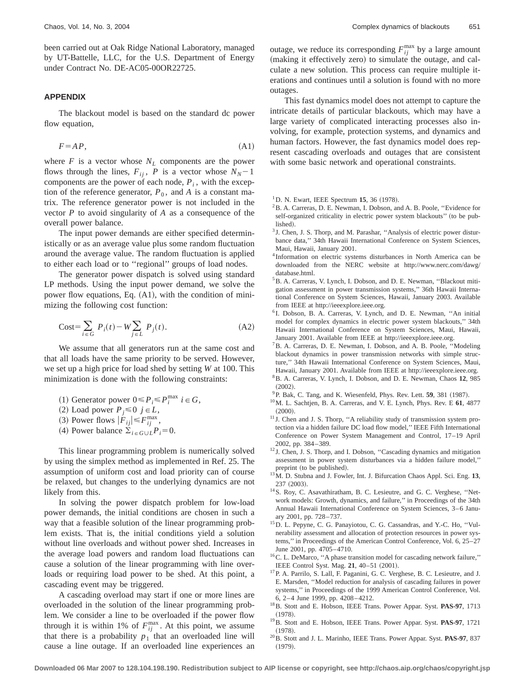been carried out at Oak Ridge National Laboratory, managed by UT-Battelle, LLC, for the U.S. Department of Energy under Contract No. DE-AC05-00OR22725.

#### **APPENDIX**

The blackout model is based on the standard dc power flow equation,

$$
F = AP, \tag{A1}
$$

where  $F$  is a vector whose  $N_L$  components are the power flows through the lines,  $F_{ij}$ ,  $P$  is a vector whose  $N_N-1$ components are the power of each node,  $P_i$ , with the exception of the reference generator,  $P_0$ , and  $A$  is a constant matrix. The reference generator power is not included in the vector *P* to avoid singularity of *A* as a consequence of the overall power balance.

The input power demands are either specified deterministically or as an average value plus some random fluctuation around the average value. The random fluctuation is applied to either each load or to ''regional'' groups of load nodes.

The generator power dispatch is solved using standard LP methods. Using the input power demand, we solve the power flow equations, Eq.  $(A1)$ , with the condition of minimizing the following cost function:

$$
\text{Cost} = \sum_{i \in G} P_i(t) - W \sum_{j \in L} P_j(t). \tag{A2}
$$

We assume that all generators run at the same cost and that all loads have the same priority to be served. However, we set up a high price for load shed by setting *W* at 100. This minimization is done with the following constraints:

- $(1)$  Generator power  $0 \leq P_i \leq P_i^{\max}$   $i \in G$ ,
- (2) Load power  $P_i \le 0$   $j \in L$ ,
- (3) Power flows  $|F_{ij}| \leq F_{ij}^{\text{max}}$ ,
- (4) Power balance  $\Sigma_{i \in G \cup L} P_i = 0$ .

This linear programming problem is numerically solved by using the simplex method as implemented in Ref. 25. The assumption of uniform cost and load priority can of course be relaxed, but changes to the underlying dynamics are not likely from this.

In solving the power dispatch problem for low-load power demands, the initial conditions are chosen in such a way that a feasible solution of the linear programming problem exists. That is, the initial conditions yield a solution without line overloads and without power shed. Increases in the average load powers and random load fluctuations can cause a solution of the linear programming with line overloads or requiring load power to be shed. At this point, a cascading event may be triggered.

A cascading overload may start if one or more lines are overloaded in the solution of the linear programming problem. We consider a line to be overloaded if the power flow through it is within 1% of  $F_{ij}^{\text{max}}$ . At this point, we assume that there is a probability  $p_1$  that an overloaded line will cause a line outage. If an overloaded line experiences an

outage, we reduce its corresponding  $F_{ij}^{\text{max}}$  by a large amount (making it effectively zero) to simulate the outage, and calculate a new solution. This process can require multiple iterations and continues until a solution is found with no more outages.

This fast dynamics model does not attempt to capture the intricate details of particular blackouts, which may have a large variety of complicated interacting processes also involving, for example, protection systems, and dynamics and human factors. However, the fast dynamics model does represent cascading overloads and outages that are consistent with some basic network and operational constraints.

- <sup>2</sup>B. A. Carreras, D. E. Newman, I. Dobson, and A. B. Poole, "Evidence for self-organized criticality in electric power system blackouts" (to be published).
- <sup>3</sup> J. Chen, J. S. Thorp, and M. Parashar, "Analysis of electric power disturbance data,'' 34th Hawaii International Conference on System Sciences, Maui, Hawaii, January 2001.
- <sup>4</sup> Information on electric systems disturbances in North America can be downloaded from the NERC website at http://www.nerc.com/dawg/ database.html.
- <sup>5</sup>B. A. Carreras, V. Lynch, I. Dobson, and D. E. Newman, "Blackout mitigation assessment in power transmission systems,'' 36th Hawaii International Conference on System Sciences, Hawaii, January 2003. Available from IEEE at http://ieeexplore.ieee.org.
- <sup>6</sup> I. Dobson, B. A. Carreras, V. Lynch, and D. E. Newman, "An initial model for complex dynamics in electric power system blackouts,'' 34th Hawaii International Conference on System Sciences, Maui, Hawaii, January 2001. Available from IEEE at http://ieeexplore.ieee.org.
- ${}^{7}$ B. A. Carreras, D. E. Newman, I. Dobson, and A. B. Poole, "Modeling blackout dynamics in power transmission networks with simple structure,'' 34th Hawaii International Conference on System Sciences, Maui, Hawaii, January 2001. Available from IEEE at http://ieeexplore.ieee.org. 8B. A. Carreras, V. Lynch, I. Dobson, and D. E. Newman, Chaos **12**, 985  $(2002).$
- <sup>9</sup>P. Bak, C. Tang, and K. Wiesenfeld, Phys. Rev. Lett. 59, 381 (1987).
- 10M. L. Sachtjen, B. A. Carreras, and V. E. Lynch, Phys. Rev. E **61**, 4877  $(2000)$
- <sup>11</sup> J. Chen and J. S. Thorp, "A reliability study of transmission system protection via a hidden failure DC load flow model,'' IEEE Fifth International Conference on Power System Management and Control, 17–19 April 2002, pp. 384–389.
- <sup>12</sup> J. Chen, J. S. Thorp, and I. Dobson, "Cascading dynamics and mitigation assessment in power system disturbances via a hidden failure model,'' preprint (to be published).
- 13M. D. Stubna and J. Fowler, Int. J. Bifurcation Chaos Appl. Sci. Eng. **13**, 237 (2003).
- 14S. Roy, C. Asavathiratham, B. C. Lesieutre, and G. C. Verghese, ''Network models: Growth, dynamics, and failure,'' in Proceedings of the 34th Annual Hawaii International Conference on System Sciences, 3–6 January 2001, pp. 728–737.
- 15D. L. Pepyne, C. G. Panayiotou, C. G. Cassandras, and Y.-C. Ho, ''Vulnerability assessment and allocation of protection resources in power systems,'' in Proceedings of the American Control Conference, Vol. 6, 25–27 June 2001, pp. 4705–4710.
- <sup>16</sup>C. L. DeMarco, "A phase transition model for cascading network failure," IEEE Control Syst. Mag. 21, 40-51 (2001).
- 17P. A. Parrilo, S. Lall, F. Paganini, G. C. Verghese, B. C. Lesieutre, and J. E. Marsden, ''Model reduction for analysis of cascading failures in power systems,'' in Proceedings of the 1999 American Control Conference, Vol. 6, 2–4 June 1999, pp. 4208–4212.
- 18B. Stott and E. Hobson, IEEE Trans. Power Appar. Syst. **PAS-97**, 1713  $(1978).$
- 19B. Stott and E. Hobson, IEEE Trans. Power Appar. Syst. **PAS-97**, 1721  $(1978).$
- 20B. Stott and J. L. Marinho, IEEE Trans. Power Appar. Syst. **PAS-97**, 837  $(1979).$

 $1$  D. N. Ewart, IEEE Spectrum **15**, 36  $(1978)$ .